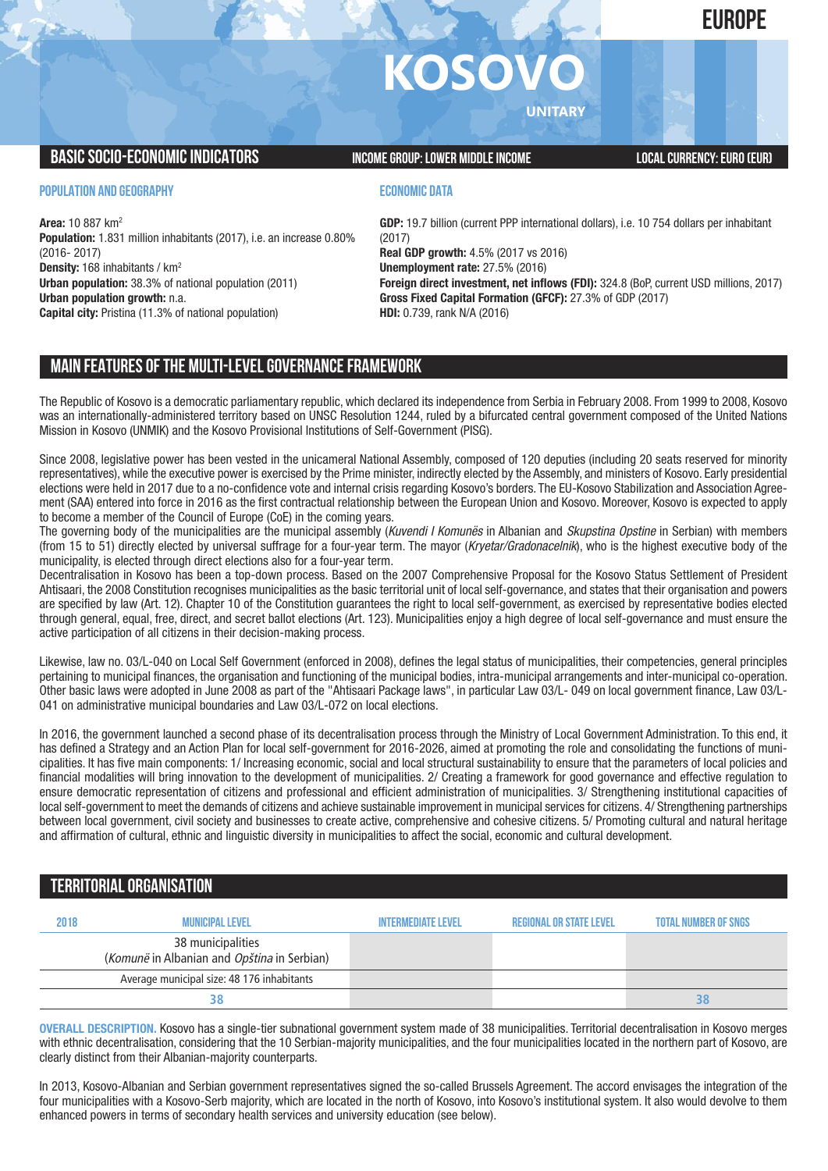### **EUROPE**

# **KOSOV**

**UNITARY**

#### **BASIC SOCIO-ECONOMIC INDICATORS** INCOME GROUP: LOWER MIDDLE INCOME INCOME LOCAL CURRENCY: EURO (EUR)

#### **POPULATION AND GEOGRAPHY**

**Area:** 10 887 km2 **Population:** 1.831 million inhabitants (2017), i.e. an increase 0.80% (2016- 2017) **Density:** 168 inhabitants / km2 **Urban population:** 38.3% of national population (2011) **Urban population growth:** n.a. **Capital city:** Pristina (11.3% of national population)

#### **ECONOMIC DATA**

**GDP:** 19.7 billion (current PPP international dollars), i.e. 10 754 dollars per inhabitant (2017) **Real GDP growth:** 4.5% (2017 vs 2016) **Unemployment rate:** 27.5% (2016) **Foreign direct investment, net inflows (FDI):** 324.8 (BoP, current USD millions, 2017) **Gross Fixed Capital Formation (GFCF):** 27.3% of GDP (2017)

**HDI:** 0.739, rank N/A (2016)

#### **MAIN FEATURESOFTHE MULTI-LEVELGOVERNANCEFRAMEWORK**

The Republic of Kosovo is a democratic parliamentary republic, which declared its independence from Serbia in February 2008. From 1999 to 2008, Kosovo was an internationally-administered territory based on UNSC Resolution 1244, ruled by a bifurcated central government composed of the United Nations Mission in Kosovo (UNMIK) and the Kosovo Provisional Institutions of Self-Government (PISG).

Since 2008, legislative power has been vested in the unicameral National Assembly, composed of 120 deputies (including 20 seats reserved for minority representatives), while the executive power is exercised by the Prime minister, indirectly elected by the Assembly, and ministers of Kosovo. Early presidential elections were held in 2017 due to a no-confidence vote and internal crisis regarding Kosovo's borders. The EU-Kosovo Stabilization and Association Agreement (SAA) entered into force in 2016 as the first contractual relationship between the European Union and Kosovo. Moreover, Kosovo is expected to apply to become a member of the Council of Europe (CoE) in the coming years.

The governing body of the municipalities are the municipal assembly (*Kuvendi I Komunës* in Albanian and *Skupstina Opstine* in Serbian) with members (from 15 to 51) directly elected by universal suffrage for a four-year term. The mayor (*Kryetar/Gradonacelnik*), who is the highest executive body of the municipality, is elected through direct elections also for a four-year term.

Decentralisation in Kosovo has been a top-down process. Based on the 2007 Comprehensive Proposal for the Kosovo Status Settlement of President Ahtisaari, the 2008 Constitution recognises municipalities as the basic territorial unit of local self-governance, and states that their organisation and powers are specified by law (Art. 12). Chapter 10 of the Constitution guarantees the right to local self-government, as exercised by representative bodies elected through general, equal, free, direct, and secret ballot elections (Art. 123). Municipalities enjoy a high degree of local self-governance and must ensure the active participation of all citizens in their decision-making process.

Likewise, law no. 03/L-040 on Local Self Government (enforced in 2008), defines the legal status of municipalities, their competencies, general principles pertaining to municipal finances, the organisation and functioning of the municipal bodies, intra-municipal arrangements and inter-municipal co-operation. Other basic laws were adopted in June 2008 as part of the "Ahtisaari Package laws", in particular Law 03/L- 049 on local government finance, Law 03/L-041 on administrative municipal boundaries and Law 03/L-072 on local elections.

In 2016, the government launched a second phase of its decentralisation process through the Ministry of Local Government Administration. To this end, it has defined a Strategy and an Action Plan for local self-government for 2016-2026, aimed at promoting the role and consolidating the functions of municipalities. It has five main components: 1/ Increasing economic, social and local structural sustainability to ensure that the parameters of local policies and financial modalities will bring innovation to the development of municipalities. 2/ Creating a framework for good governance and effective regulation to ensure democratic representation of citizens and professional and efficient administration of municipalities. 3/ Strengthening institutional capacities of local self-government to meet the demands of citizens and achieve sustainable improvement in municipal services for citizens. 4/ Strengthening partnerships between local government, civil society and businesses to create active, comprehensive and cohesive citizens. 5/ Promoting cultural and natural heritage and affirmation of cultural, ethnic and linguistic diversity in municipalities to affect the social, economic and cultural development.

#### **TERRITORIALORGANISATION**

| 2018 | MUNICIPAL LEVEL                                                  | INTERMEDIATE I EVEL | REGIONAL OR STATE LEVEL | <b>TOTAL NUMBER OF SNGS</b> |
|------|------------------------------------------------------------------|---------------------|-------------------------|-----------------------------|
|      | 38 municipalities<br>(Komunë in Albanian and Opština in Serbian) |                     |                         |                             |
|      | Average municipal size: 48 176 inhabitants                       |                     |                         |                             |
|      |                                                                  |                     |                         | 38                          |

**OVERALL DESCRIPTION.** Kosovo has a single-tier subnational government system made of 38 municipalities. Territorial decentralisation in Kosovo merges with ethnic decentralisation, considering that the 10 Serbian-majority municipalities, and the four municipalities located in the northern part of Kosovo, are clearly distinct from their Albanian-majority counterparts.

In 2013, Kosovo-Albanian and Serbian government representatives signed the so-called Brussels Agreement. The accord envisages the integration of the four municipalities with a Kosovo-Serb majority, which are located in the north of Kosovo, into Kosovo's institutional system. It also would devolve to them enhanced powers in terms of secondary health services and university education (see below).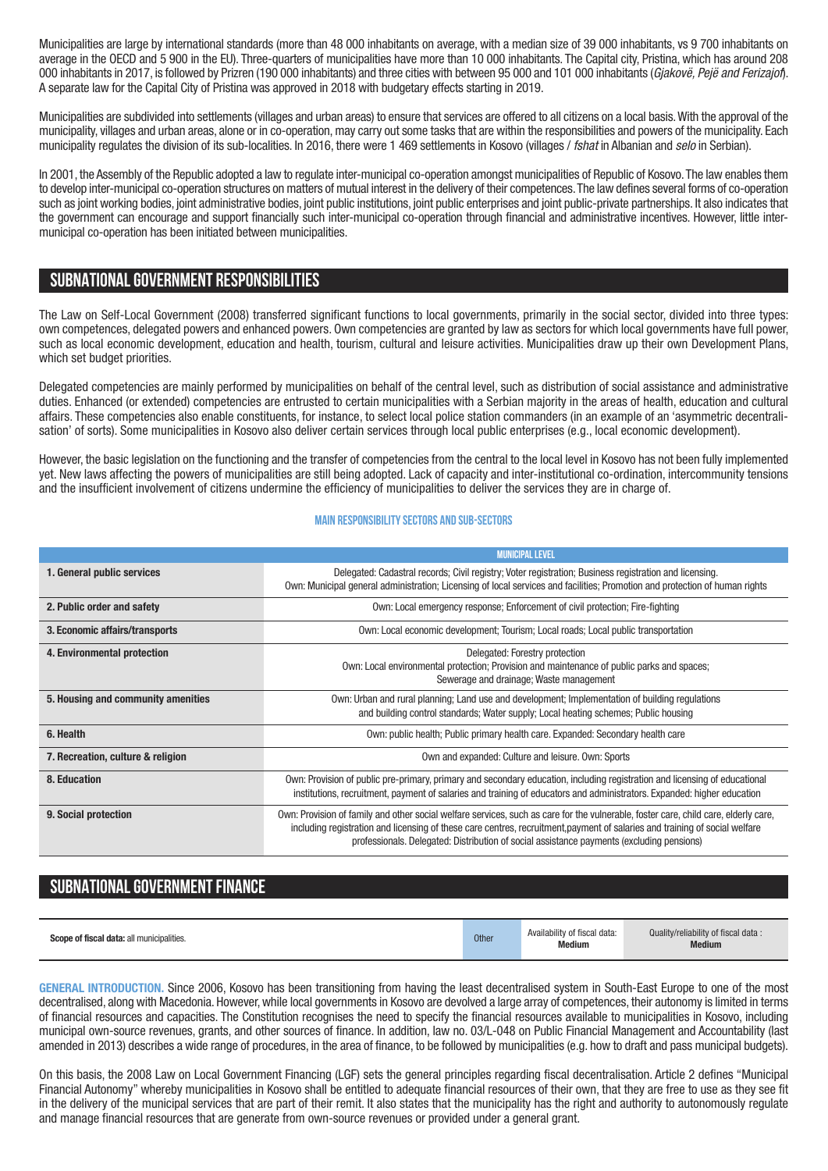Municipalities are large by international standards (more than 48 000 inhabitants on average, with a median size of 39 000 inhabitants, vs 9 700 inhabitants on average in the OECD and 5 900 in the EU). Three-quarters of municipalities have more than 10 000 inhabitants. The Capital city, Pristina, which has around 208 000 inhabitants in 2017, is followed by Prizren (190 000 inhabitants) and three cities with between 95 000 and 101 000 inhabitants (*Gjakovë, Pejë and Ferizajof*). A separate law for the Capital City of Pristina was approved in 2018 with budgetary effects starting in 2019.

Municipalities are subdivided into settlements (villages and urban areas) to ensure that services are offered to all citizens on a local basis.With the approval of the municipality, villages and urban areas, alone or in co-operation, may carry out some tasks that are within the responsibilities and powers of the municipality. Each municipality regulates the division of its sub-localities. In 2016, there were 1 469 settlements in Kosovo (villages / *fshat* in Albanian and *selo* in Serbian).

In 2001, the Assembly of the Republic adopted a law to regulate inter-municipal co-operation amongst municipalities of Republic of Kosovo.The law enables them to develop inter-municipal co-operation structures on matters of mutual interest in the delivery of their competences.The law defines several forms of co-operation such as joint working bodies, joint administrative bodies, joint public institutions, joint public enterprises and joint public-private partnerships. It also indicates that the government can encourage and support financially such inter-municipal co-operation through financial and administrative incentives. However, little intermunicipal co-operation has been initiated between municipalities.

#### **SUBNATIONALGOVERNMENT RESPONSIBILITIES**

The Law on Self-Local Government (2008) transferred significant functions to local governments, primarily in the social sector, divided into three types: own competences, delegated powers and enhanced powers. Own competencies are granted by law as sectors for which local governments have full power, such as local economic development, education and health, tourism, cultural and leisure activities. Municipalities draw up their own Development Plans, which set budget priorities.

Delegated competencies are mainly performed by municipalities on behalf of the central level, such as distribution of social assistance and administrative duties. Enhanced (or extended) competencies are entrusted to certain municipalities with a Serbian majority in the areas of health, education and cultural affairs. These competencies also enable constituents, for instance, to select local police station commanders (in an example of an 'asymmetric decentralisation' of sorts). Some municipalities in Kosovo also deliver certain services through local public enterprises (e.g., local economic development).

However, the basic legislation on the functioning and the transfer of competencies from the central to the local level in Kosovo has not been fully implemented yet. New laws affecting the powers of municipalities are still being adopted. Lack of capacity and inter-institutional co-ordination, intercommunity tensions and the insufficient involvement of citizens undermine the efficiency of municipalities to deliver the services they are in charge of.

#### **Main responsibilitysectors and sub-sectors**

|                                    | <b>MUNICIPAL LEVEL</b>                                                                                                                                                                                                                                                                                                                                          |
|------------------------------------|-----------------------------------------------------------------------------------------------------------------------------------------------------------------------------------------------------------------------------------------------------------------------------------------------------------------------------------------------------------------|
| 1. General public services         | Delegated: Cadastral records; Civil registry; Voter registration; Business registration and licensing.<br>Own: Municipal general administration; Licensing of local services and facilities; Promotion and protection of human rights                                                                                                                           |
| 2. Public order and safety         | Own: Local emergency response; Enforcement of civil protection; Fire-fighting                                                                                                                                                                                                                                                                                   |
| 3. Economic affairs/transports     | Own: Local economic development; Tourism; Local roads; Local public transportation                                                                                                                                                                                                                                                                              |
| 4. Environmental protection        | Delegated: Forestry protection<br>Own: Local environmental protection; Provision and maintenance of public parks and spaces;<br>Sewerage and drainage; Waste management                                                                                                                                                                                         |
| 5. Housing and community amenities | Own: Urban and rural planning; Land use and development; Implementation of building regulations<br>and building control standards; Water supply; Local heating schemes; Public housing                                                                                                                                                                          |
| 6. Health                          | Own: public health; Public primary health care. Expanded: Secondary health care                                                                                                                                                                                                                                                                                 |
| 7. Recreation, culture & religion  | Own and expanded: Culture and leisure. Own: Sports                                                                                                                                                                                                                                                                                                              |
| 8. Education                       | Own: Provision of public pre-primary, primary and secondary education, including registration and licensing of educational<br>institutions, recruitment, payment of salaries and training of educators and administrators. Expanded: higher education                                                                                                           |
| 9. Social protection               | Own: Provision of family and other social welfare services, such as care for the vulnerable, foster care, child care, elderly care,<br>including registration and licensing of these care centres, recruitment, payment of salaries and training of social welfare<br>professionals. Delegated: Distribution of social assistance payments (excluding pensions) |

#### **SUBNATIONAL GOVERNMENT FINANCE**

| <b>Scope of fiscal data: all municipalities.</b> | Other | Availability of fiscal data:<br><b>Medium</b><br>. | Quality/reliability of fiscal data:<br><b>Medium</b> |
|--------------------------------------------------|-------|----------------------------------------------------|------------------------------------------------------|
|--------------------------------------------------|-------|----------------------------------------------------|------------------------------------------------------|

**GENERAL INTRODUCTION.** Since 2006, Kosovo has been transitioning from having the least decentralised system in South-East Europe to one of the most decentralised, along with Macedonia. However,while local governments in Kosovo are devolved a large array of competences, their autonomy is limited in terms of financial resources and capacities. The Constitution recognises the need to specify the financial resources available to municipalities in Kosovo, including municipal own-source revenues, grants, and other sources of finance. In addition, law no. 03/L-048 on Public Financial Management and Accountability (last amended in 2013) describes a wide range of procedures, in the area of finance, to be followed by municipalities (e.g. how to draft and pass municipal budgets).

On this basis, the 2008 Law on Local Government Financing (LGF) sets the general principles regarding fiscal decentralisation. Article 2 defines "Municipal Financial Autonomy" whereby municipalities in Kosovo shall be entitled to adequate financial resources of their own, that they are free to use as they see fit in the delivery of the municipal services that are part of their remit. It also states that the municipality has the right and authority to autonomously regulate and manage financial resources that are generate from own-source revenues or provided under a general grant.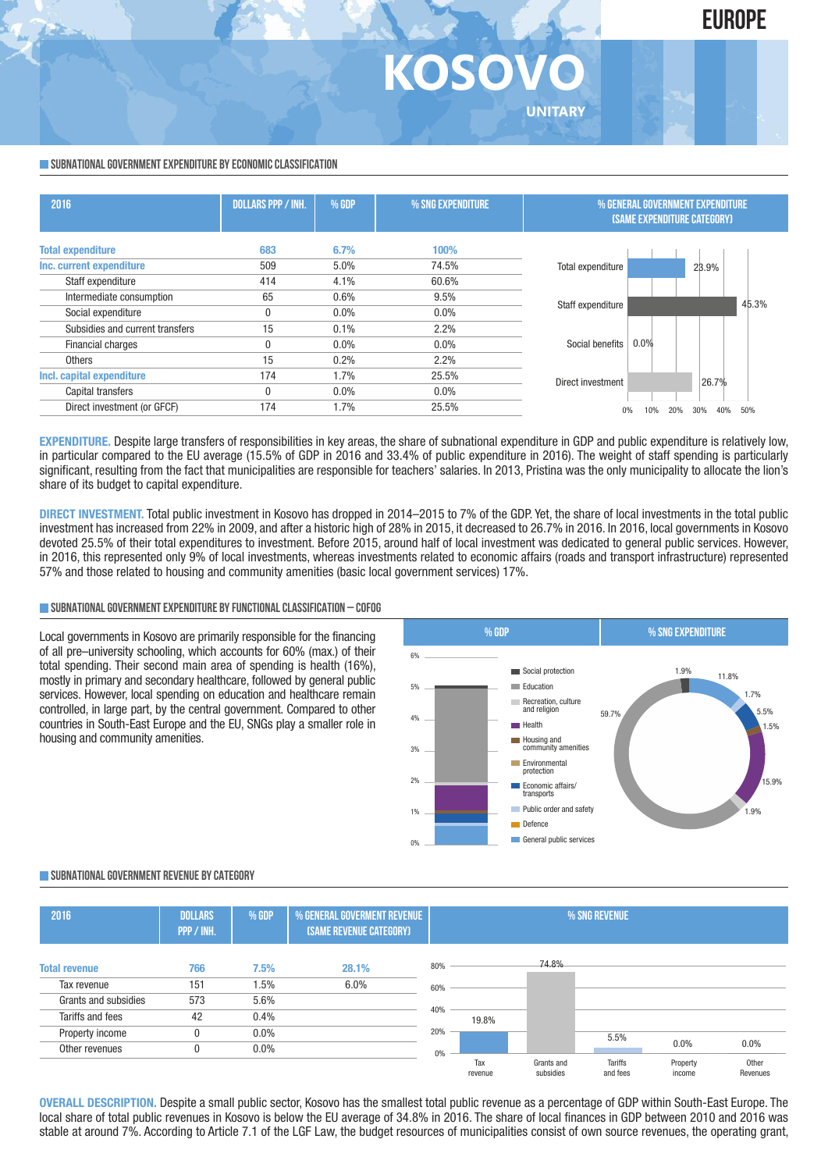

## **KOSOV UNITARY**

#### **SUBNATIONAL GOVERNMENT EXPENDITURE BY ECONOMIC CLASSIFICATION**

| 2016                            | <b>DOLLARS PPP / INH.</b> | % GDP   | % SNG EXPENDITURE | % GENERAL GOVERNMENT EXPENDITURE<br><b>(SAME EXPENDITURE CATEGORY)</b> |  |
|---------------------------------|---------------------------|---------|-------------------|------------------------------------------------------------------------|--|
| <b>Total expenditure</b>        | 683                       | 6.7%    | 100%              |                                                                        |  |
| Inc. current expenditure        | 509                       | 5.0%    | 74.5%             | Total expenditure<br>23.9%                                             |  |
| Staff expenditure               | 414                       | 4.1%    | 60.6%             |                                                                        |  |
| Intermediate consumption        | 65                        | 0.6%    | 9.5%              | 45.3%                                                                  |  |
| Social expenditure              | 0                         | $0.0\%$ | 0.0%              | Staff expenditure                                                      |  |
| Subsidies and current transfers | 15                        | 0.1%    | 2.2%              |                                                                        |  |
| Financial charges               |                           | $0.0\%$ | 0.0%              | 0.0%<br>Social benefits                                                |  |
| <b>Others</b>                   | 15                        | 0.2%    | 2.2%              |                                                                        |  |
| Incl. capital expenditure       | 174                       | 1.7%    | 25.5%             | 26.7%<br>Direct investment                                             |  |
| Capital transfers               | 0                         | $0.0\%$ | 0.0%              |                                                                        |  |
| Direct investment (or GFCF)     | 174                       | 1.7%    | 25.5%             | 40%<br>50%<br>30%<br>10%                                               |  |

**EXPENDITURE**. Despite large transfers of responsibilities in key areas, the share of subnational expenditure in GDP and public expenditure is relatively low. in particular compared to the EU average (15.5% of GDP in 2016 and 33.4% of public expenditure in 2016). The weight of staff spending is particularly significant, resulting from the fact that municipalities are responsible for teachers' salaries. In 2013, Pristina was the only municipality to allocate the lion's share of its budget to capital expenditure.

**DIRECT INVESTMENT.** Total public investment in Kosovo has dropped in 2014–2015 to 7% of the GDP. Yet, the share of local investments in the total public investment has increased from 22% in 2009, and after a historic high of 28% in 2015, it decreased to 26.7% in 2016. In 2016, local governments in Kosovo devoted 25.5% of their total expenditures to investment. Before 2015, around half of local investment was dedicated to general public services. However, in 2016, this represented only 9% of local investments, whereas investments related to economic affairs (roads and transport infrastructure) represented 57% and those related to housing and community amenities (basic local government services) 17%.

#### **SUBNATIONALGOVERNMENTEXPENDITURE BYFUNCTIONALCLASSIFICATION – COFOG**

Local governments in Kosovo are primarily responsible for the financing of all pre–university schooling, which accounts for 60% (max.) of their total spending. Their second main area of spending is health (16%), mostly in primary and secondary healthcare, followed by general public services. However, local spending on education and healthcare remain controlled, in large part, by the central government. Compared to other countries in South-East Europe and the EU, SNGs play a smaller role in housing and community amenities.



#### **SUBNATIONALGOVERNMENT REVENUE BYCATEGORY**

| 2016                 | <b>DOLLARS</b><br>PPP / INH. | % GDP   | % GENERAL GOVERMENT REVENUE<br>(SAME REVENUE CATEGORY) |     | % SNG REVENUE  |                         |                            |                    |                   |
|----------------------|------------------------------|---------|--------------------------------------------------------|-----|----------------|-------------------------|----------------------------|--------------------|-------------------|
| <b>Total revenue</b> | 766                          | 7.5%    | 28.1%                                                  | 80% |                | 74.8%                   |                            |                    |                   |
| Tax revenue          | 151                          | 1.5%    | 6.0%                                                   | 60% |                |                         |                            |                    |                   |
| Grants and subsidies | 573                          | 5.6%    |                                                        |     |                |                         |                            |                    |                   |
| Tariffs and fees     | 42                           | 0.4%    |                                                        | 40% | 19.8%          |                         |                            |                    |                   |
| Property income      |                              | $0.0\%$ |                                                        | 20% |                |                         | 5.5%                       |                    |                   |
| Other revenues       | 0                            | $0.0\%$ |                                                        | 0%  |                |                         |                            | 0.0%               | 0.0%              |
|                      |                              |         |                                                        |     | Tax<br>revenue | Grants and<br>subsidies | <b>Tariffs</b><br>and fees | Property<br>income | Other<br>Revenues |

**OVERALL DESCRIPTION.** Despite a small public sector, Kosovo has the smallest total public revenue as a percentage of GDP within South-East Europe. The local share of total public revenues in Kosovo is below the EU average of 34.8% in 2016. The share of local finances in GDP between 2010 and 2016 was stable at around 7%. According to Article 7.1 of the LGF Law, the budget resources of municipalities consist of own source revenues, the operating grant,